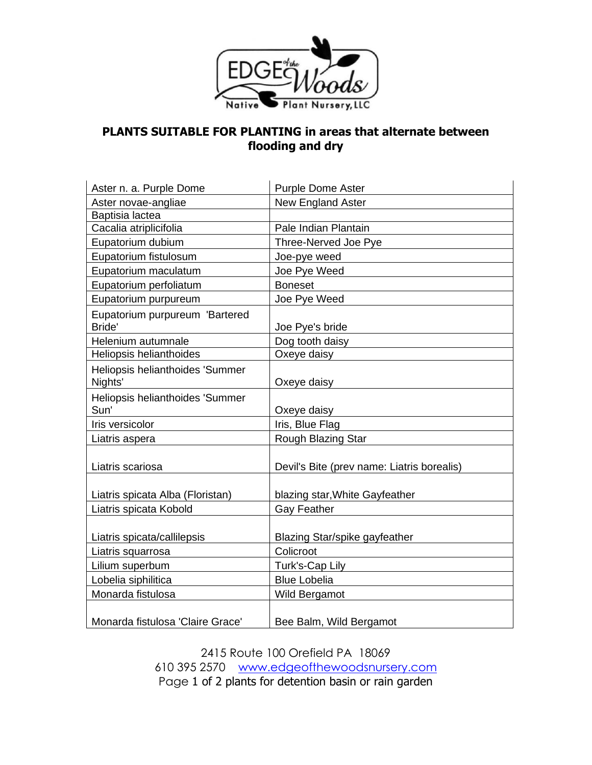

## **PLANTS SUITABLE FOR PLANTING in areas that alternate between flooding and dry**

| Aster n. a. Purple Dome                  | <b>Purple Dome Aster</b>                   |
|------------------------------------------|--------------------------------------------|
| Aster novae-angliae                      | New England Aster                          |
| Baptisia lactea                          |                                            |
| Cacalia atriplicifolia                   | Pale Indian Plantain                       |
| Eupatorium dubium                        | Three-Nerved Joe Pye                       |
| Eupatorium fistulosum                    | Joe-pye weed                               |
| Eupatorium maculatum                     | Joe Pye Weed                               |
| Eupatorium perfoliatum                   | <b>Boneset</b>                             |
| Eupatorium purpureum                     | Joe Pye Weed                               |
| Eupatorium purpureum 'Bartered<br>Bride' | Joe Pye's bride                            |
| Helenium autumnale                       | Dog tooth daisy                            |
| Heliopsis helianthoides                  | Oxeye daisy                                |
| Heliopsis helianthoides 'Summer          |                                            |
| Nights'                                  | Oxeye daisy                                |
| Heliopsis helianthoides 'Summer          |                                            |
| Sun'                                     | Oxeye daisy                                |
| Iris versicolor                          | Iris, Blue Flag                            |
| Liatris aspera                           | Rough Blazing Star                         |
|                                          |                                            |
| Liatris scariosa                         | Devil's Bite (prev name: Liatris borealis) |
|                                          |                                            |
| Liatris spicata Alba (Floristan)         | blazing star, White Gayfeather             |
| Liatris spicata Kobold                   | <b>Gay Feather</b>                         |
|                                          |                                            |
| Liatris spicata/callilepsis              | Blazing Star/spike gayfeather              |
| Liatris squarrosa                        | Colicroot                                  |
| Lilium superbum                          | Turk's-Cap Lily                            |
| Lobelia siphilitica                      | <b>Blue Lobelia</b>                        |
| Monarda fistulosa                        | Wild Bergamot                              |
| Monarda fistulosa 'Claire Grace'         | Bee Balm, Wild Bergamot                    |

2415 Route 100 Orefield PA 18069 610 395 2570 [www.edgeofthewoodsnursery.com](http://www.edgeofthewoodsnursery.com/) Page 1 of 2 plants for detention basin or rain garden